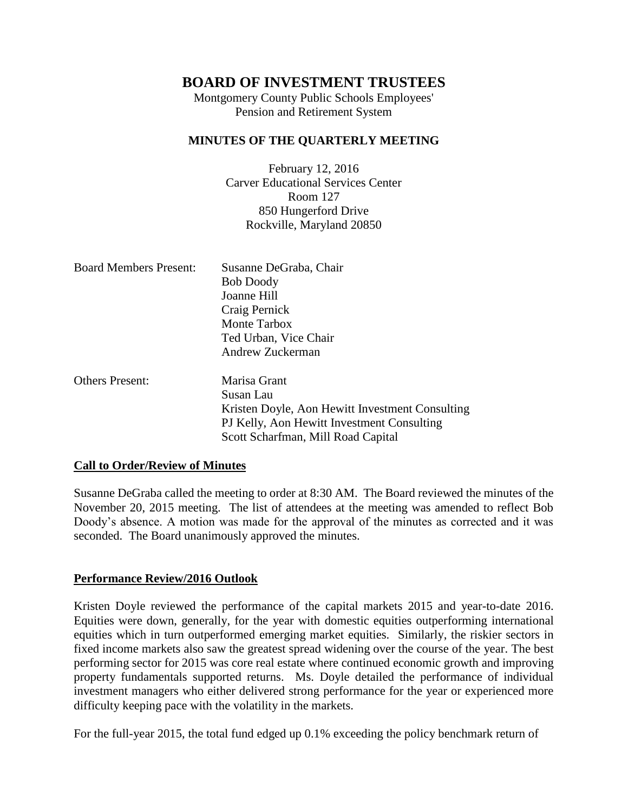Montgomery County Public Schools Employees' Pension and Retirement System

#### **MINUTES OF THE QUARTERLY MEETING**

February 12, 2016 Carver Educational Services Center Room 127 850 Hungerford Drive Rockville, Maryland 20850

| <b>Board Members Present:</b> | Susanne DeGraba, Chair<br><b>Bob Doody</b><br>Joanne Hill<br>Craig Pernick |
|-------------------------------|----------------------------------------------------------------------------|
|                               | Monte Tarbox                                                               |
|                               | Ted Urban, Vice Chair                                                      |
|                               | Andrew Zuckerman                                                           |
| <b>Others Present:</b>        | Marisa Grant                                                               |
|                               | Susan Lau                                                                  |
|                               | $\mathbf{r}$ and $\mathbf{r}$ and $\mathbf{r}$ and $\mathbf{r}$            |

Kristen Doyle, Aon Hewitt Investment Consulting PJ Kelly, Aon Hewitt Investment Consulting Scott Scharfman, Mill Road Capital

#### **Call to Order/Review of Minutes**

Susanne DeGraba called the meeting to order at 8:30 AM. The Board reviewed the minutes of the November 20, 2015 meeting. The list of attendees at the meeting was amended to reflect Bob Doody's absence. A motion was made for the approval of the minutes as corrected and it was seconded. The Board unanimously approved the minutes.

#### **Performance Review/2016 Outlook**

Kristen Doyle reviewed the performance of the capital markets 2015 and year-to-date 2016. Equities were down, generally, for the year with domestic equities outperforming international equities which in turn outperformed emerging market equities. Similarly, the riskier sectors in fixed income markets also saw the greatest spread widening over the course of the year. The best performing sector for 2015 was core real estate where continued economic growth and improving property fundamentals supported returns. Ms. Doyle detailed the performance of individual investment managers who either delivered strong performance for the year or experienced more difficulty keeping pace with the volatility in the markets.

For the full-year 2015, the total fund edged up 0.1% exceeding the policy benchmark return of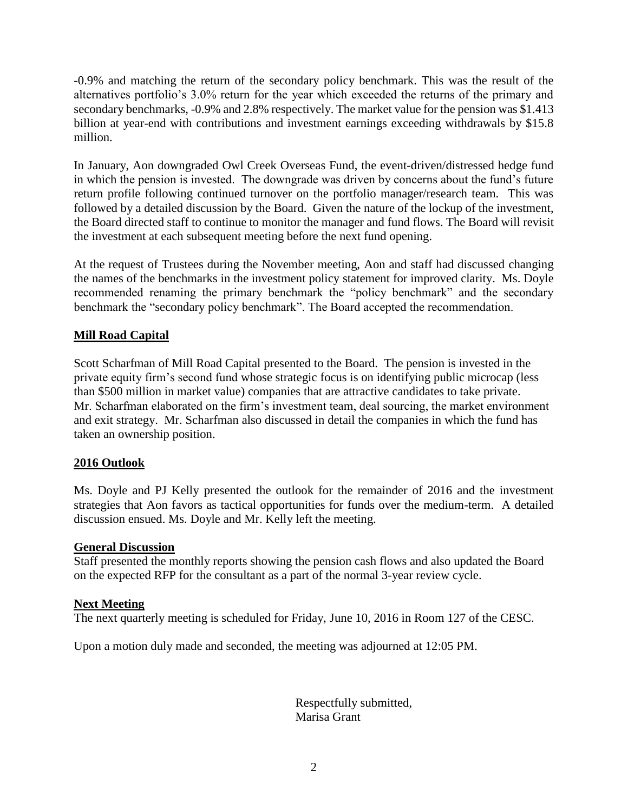-0.9% and matching the return of the secondary policy benchmark. This was the result of the alternatives portfolio's 3.0% return for the year which exceeded the returns of the primary and secondary benchmarks, -0.9% and 2.8% respectively. The market value for the pension was \$1.413 billion at year-end with contributions and investment earnings exceeding withdrawals by \$15.8 million.

In January, Aon downgraded Owl Creek Overseas Fund, the event-driven/distressed hedge fund in which the pension is invested. The downgrade was driven by concerns about the fund's future return profile following continued turnover on the portfolio manager/research team. This was followed by a detailed discussion by the Board. Given the nature of the lockup of the investment, the Board directed staff to continue to monitor the manager and fund flows. The Board will revisit the investment at each subsequent meeting before the next fund opening.

At the request of Trustees during the November meeting, Aon and staff had discussed changing the names of the benchmarks in the investment policy statement for improved clarity. Ms. Doyle recommended renaming the primary benchmark the "policy benchmark" and the secondary benchmark the "secondary policy benchmark". The Board accepted the recommendation.

## **Mill Road Capital**

Scott Scharfman of Mill Road Capital presented to the Board. The pension is invested in the private equity firm's second fund whose strategic focus is on identifying public microcap (less than \$500 million in market value) companies that are attractive candidates to take private. Mr. Scharfman elaborated on the firm's investment team, deal sourcing, the market environment and exit strategy. Mr. Scharfman also discussed in detail the companies in which the fund has taken an ownership position.

## **2016 Outlook**

Ms. Doyle and PJ Kelly presented the outlook for the remainder of 2016 and the investment strategies that Aon favors as tactical opportunities for funds over the medium-term. A detailed discussion ensued. Ms. Doyle and Mr. Kelly left the meeting.

#### **General Discussion**

Staff presented the monthly reports showing the pension cash flows and also updated the Board on the expected RFP for the consultant as a part of the normal 3-year review cycle.

#### **Next Meeting**

The next quarterly meeting is scheduled for Friday, June 10, 2016 in Room 127 of the CESC.

Upon a motion duly made and seconded, the meeting was adjourned at 12:05 PM.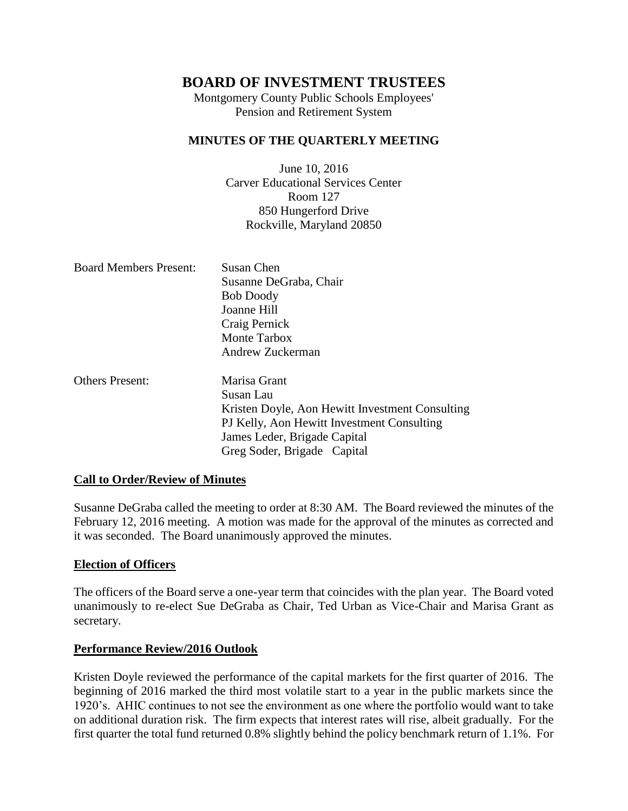Montgomery County Public Schools Employees' Pension and Retirement System

#### **MINUTES OF THE QUARTERLY MEETING**

June 10, 2016 Carver Educational Services Center Room 127 850 Hungerford Drive Rockville, Maryland 20850

| <b>Board Members Present:</b> | Susan Chen                                      |
|-------------------------------|-------------------------------------------------|
|                               | Susanne DeGraba, Chair                          |
|                               | <b>Bob Doody</b>                                |
|                               | Joanne Hill                                     |
|                               | Craig Pernick                                   |
|                               | Monte Tarbox                                    |
|                               | Andrew Zuckerman                                |
| <b>Others Present:</b>        | Marisa Grant                                    |
|                               | Susan Lau                                       |
|                               | Kristen Doyle, Aon Hewitt Investment Consulting |
|                               | PJ Kelly, Aon Hewitt Investment Consulting      |

#### **Call to Order/Review of Minutes**

Susanne DeGraba called the meeting to order at 8:30 AM. The Board reviewed the minutes of the February 12, 2016 meeting. A motion was made for the approval of the minutes as corrected and it was seconded. The Board unanimously approved the minutes.

James Leder, Brigade Capital Greg Soder, Brigade Capital

#### **Election of Officers**

The officers of the Board serve a one-year term that coincides with the plan year. The Board voted unanimously to re-elect Sue DeGraba as Chair, Ted Urban as Vice-Chair and Marisa Grant as secretary.

#### **Performance Review/2016 Outlook**

Kristen Doyle reviewed the performance of the capital markets for the first quarter of 2016. The beginning of 2016 marked the third most volatile start to a year in the public markets since the 1920's. AHIC continues to not see the environment as one where the portfolio would want to take on additional duration risk. The firm expects that interest rates will rise, albeit gradually. For the first quarter the total fund returned 0.8% slightly behind the policy benchmark return of 1.1%. For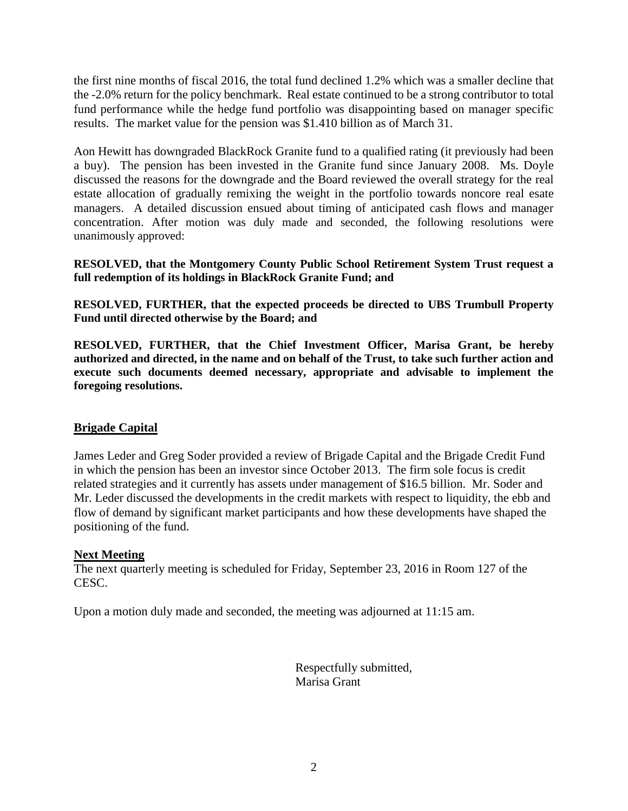the first nine months of fiscal 2016, the total fund declined 1.2% which was a smaller decline that the -2.0% return for the policy benchmark. Real estate continued to be a strong contributor to total fund performance while the hedge fund portfolio was disappointing based on manager specific results. The market value for the pension was \$1.410 billion as of March 31.

Aon Hewitt has downgraded BlackRock Granite fund to a qualified rating (it previously had been a buy). The pension has been invested in the Granite fund since January 2008. Ms. Doyle discussed the reasons for the downgrade and the Board reviewed the overall strategy for the real estate allocation of gradually remixing the weight in the portfolio towards noncore real esate managers. A detailed discussion ensued about timing of anticipated cash flows and manager concentration. After motion was duly made and seconded, the following resolutions were unanimously approved:

#### **RESOLVED, that the Montgomery County Public School Retirement System Trust request a full redemption of its holdings in BlackRock Granite Fund; and**

**RESOLVED, FURTHER, that the expected proceeds be directed to UBS Trumbull Property Fund until directed otherwise by the Board; and** 

**RESOLVED, FURTHER, that the Chief Investment Officer, Marisa Grant, be hereby authorized and directed, in the name and on behalf of the Trust, to take such further action and execute such documents deemed necessary, appropriate and advisable to implement the foregoing resolutions.**

## **Brigade Capital**

James Leder and Greg Soder provided a review of Brigade Capital and the Brigade Credit Fund in which the pension has been an investor since October 2013. The firm sole focus is credit related strategies and it currently has assets under management of \$16.5 billion. Mr. Soder and Mr. Leder discussed the developments in the credit markets with respect to liquidity, the ebb and flow of demand by significant market participants and how these developments have shaped the positioning of the fund.

## **Next Meeting**

The next quarterly meeting is scheduled for Friday, September 23, 2016 in Room 127 of the CESC.

Upon a motion duly made and seconded, the meeting was adjourned at 11:15 am.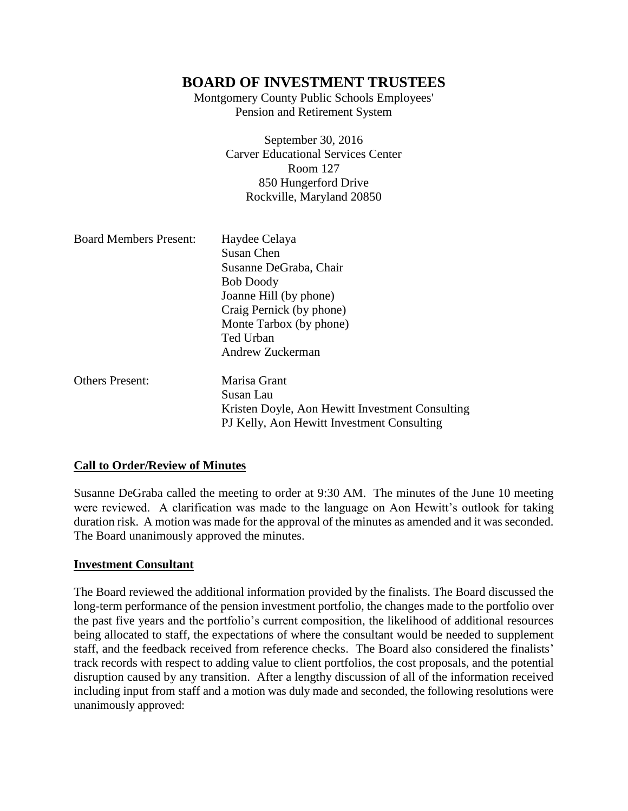Montgomery County Public Schools Employees' Pension and Retirement System

> September 30, 2016 Carver Educational Services Center Room 127 850 Hungerford Drive Rockville, Maryland 20850

| <b>Board Members Present:</b> | Haydee Celaya<br>Susan Chen<br>Susanne DeGraba, Chair<br><b>Bob Doody</b><br>Joanne Hill (by phone)<br>Craig Pernick (by phone) |
|-------------------------------|---------------------------------------------------------------------------------------------------------------------------------|
|                               | Monte Tarbox (by phone)<br>Ted Urban<br>Andrew Zuckerman                                                                        |
| <b>Others Present:</b>        | Marisa Grant<br>Susan Lau<br>Kristen Doyle, Aon Hewitt Investment Consulting<br>PJ Kelly, Aon Hewitt Investment Consulting      |

#### **Call to Order/Review of Minutes**

Susanne DeGraba called the meeting to order at 9:30 AM. The minutes of the June 10 meeting were reviewed. A clarification was made to the language on Aon Hewitt's outlook for taking duration risk. A motion was made for the approval of the minutes as amended and it was seconded. The Board unanimously approved the minutes.

#### **Investment Consultant**

The Board reviewed the additional information provided by the finalists. The Board discussed the long-term performance of the pension investment portfolio, the changes made to the portfolio over the past five years and the portfolio's current composition, the likelihood of additional resources being allocated to staff, the expectations of where the consultant would be needed to supplement staff, and the feedback received from reference checks. The Board also considered the finalists' track records with respect to adding value to client portfolios, the cost proposals, and the potential disruption caused by any transition. After a lengthy discussion of all of the information received including input from staff and a motion was duly made and seconded, the following resolutions were unanimously approved: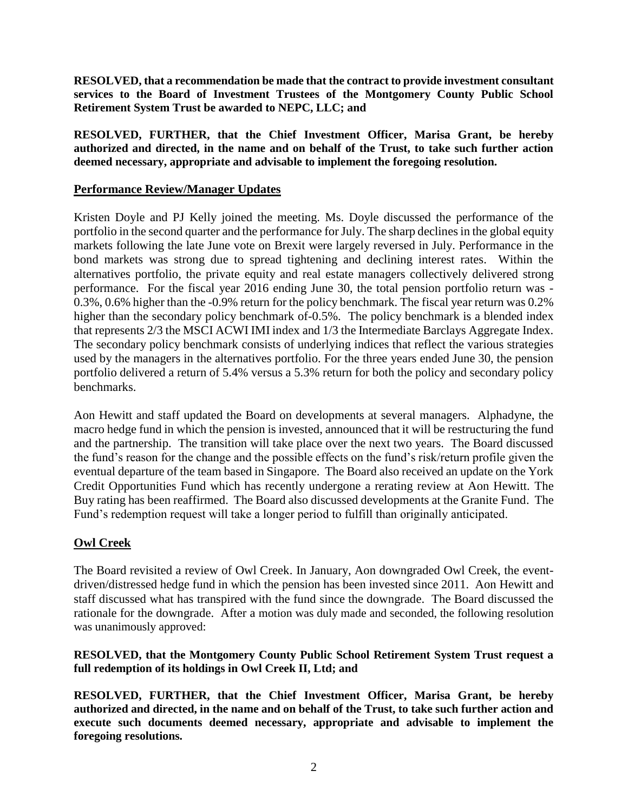**RESOLVED, that a recommendation be made that the contract to provide investment consultant services to the Board of Investment Trustees of the Montgomery County Public School Retirement System Trust be awarded to NEPC, LLC; and**

**RESOLVED, FURTHER, that the Chief Investment Officer, Marisa Grant, be hereby authorized and directed, in the name and on behalf of the Trust, to take such further action deemed necessary, appropriate and advisable to implement the foregoing resolution.**

### **Performance Review/Manager Updates**

Kristen Doyle and PJ Kelly joined the meeting. Ms. Doyle discussed the performance of the portfolio in the second quarter and the performance for July. The sharp declines in the global equity markets following the late June vote on Brexit were largely reversed in July. Performance in the bond markets was strong due to spread tightening and declining interest rates. Within the alternatives portfolio, the private equity and real estate managers collectively delivered strong performance. For the fiscal year 2016 ending June 30, the total pension portfolio return was - 0.3%, 0.6% higher than the -0.9% return for the policy benchmark. The fiscal year return was 0.2% higher than the secondary policy benchmark of 0.5%. The policy benchmark is a blended index that represents 2/3 the MSCI ACWI IMI index and 1/3 the Intermediate Barclays Aggregate Index. The secondary policy benchmark consists of underlying indices that reflect the various strategies used by the managers in the alternatives portfolio. For the three years ended June 30, the pension portfolio delivered a return of 5.4% versus a 5.3% return for both the policy and secondary policy benchmarks.

Aon Hewitt and staff updated the Board on developments at several managers. Alphadyne, the macro hedge fund in which the pension is invested, announced that it will be restructuring the fund and the partnership. The transition will take place over the next two years. The Board discussed the fund's reason for the change and the possible effects on the fund's risk/return profile given the eventual departure of the team based in Singapore. The Board also received an update on the York Credit Opportunities Fund which has recently undergone a rerating review at Aon Hewitt. The Buy rating has been reaffirmed. The Board also discussed developments at the Granite Fund. The Fund's redemption request will take a longer period to fulfill than originally anticipated.

## **Owl Creek**

The Board revisited a review of Owl Creek. In January, Aon downgraded Owl Creek, the eventdriven/distressed hedge fund in which the pension has been invested since 2011. Aon Hewitt and staff discussed what has transpired with the fund since the downgrade. The Board discussed the rationale for the downgrade. After a motion was duly made and seconded, the following resolution was unanimously approved:

#### **RESOLVED, that the Montgomery County Public School Retirement System Trust request a full redemption of its holdings in Owl Creek II, Ltd; and**

**RESOLVED, FURTHER, that the Chief Investment Officer, Marisa Grant, be hereby authorized and directed, in the name and on behalf of the Trust, to take such further action and execute such documents deemed necessary, appropriate and advisable to implement the foregoing resolutions.**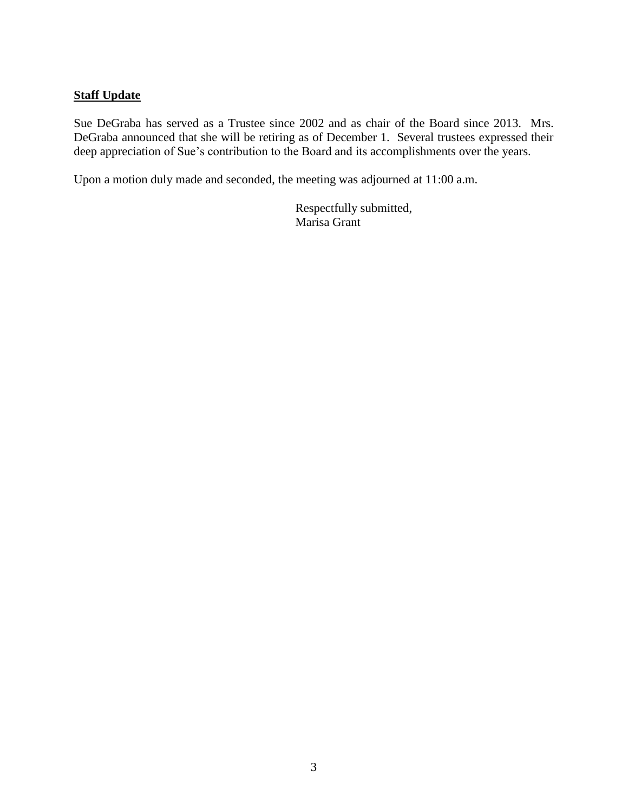### **Staff Update**

Sue DeGraba has served as a Trustee since 2002 and as chair of the Board since 2013. Mrs. DeGraba announced that she will be retiring as of December 1. Several trustees expressed their deep appreciation of Sue's contribution to the Board and its accomplishments over the years.

Upon a motion duly made and seconded, the meeting was adjourned at 11:00 a.m.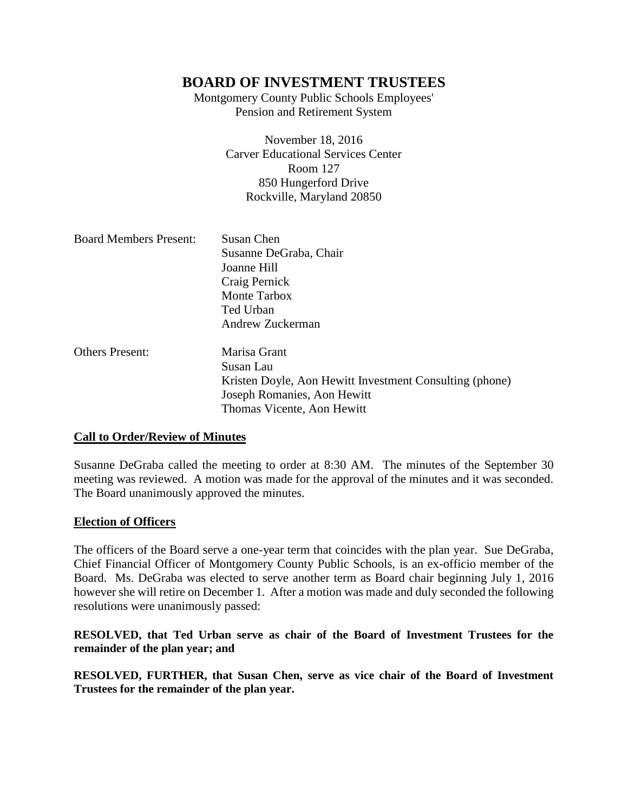Montgomery County Public Schools Employees' Pension and Retirement System

> November 18, 2016 Carver Educational Services Center Room 127 850 Hungerford Drive Rockville, Maryland 20850

| <b>Board Members Present:</b> | Susan Chen<br>Susanne DeGraba, Chair<br>Joanne Hill<br>Craig Pernick<br>Monte Tarbox<br>Ted Urban<br>Andrew Zuckerman                             |
|-------------------------------|---------------------------------------------------------------------------------------------------------------------------------------------------|
| <b>Others Present:</b>        | Marisa Grant<br>Susan Lau<br>Kristen Doyle, Aon Hewitt Investment Consulting (phone)<br>Joseph Romanies, Aon Hewitt<br>Thomas Vicente, Aon Hewitt |

#### **Call to Order/Review of Minutes**

Susanne DeGraba called the meeting to order at 8:30 AM. The minutes of the September 30 meeting was reviewed. A motion was made for the approval of the minutes and it was seconded. The Board unanimously approved the minutes.

#### **Election of Officers**

The officers of the Board serve a one-year term that coincides with the plan year. Sue DeGraba, Chief Financial Officer of Montgomery County Public Schools, is an ex-officio member of the Board. Ms. DeGraba was elected to serve another term as Board chair beginning July 1, 2016 however she will retire on December 1. After a motion was made and duly seconded the following resolutions were unanimously passed:

### **RESOLVED, that Ted Urban serve as chair of the Board of Investment Trustees for the remainder of the plan year; and**

**RESOLVED, FURTHER, that Susan Chen, serve as vice chair of the Board of Investment Trustees for the remainder of the plan year.**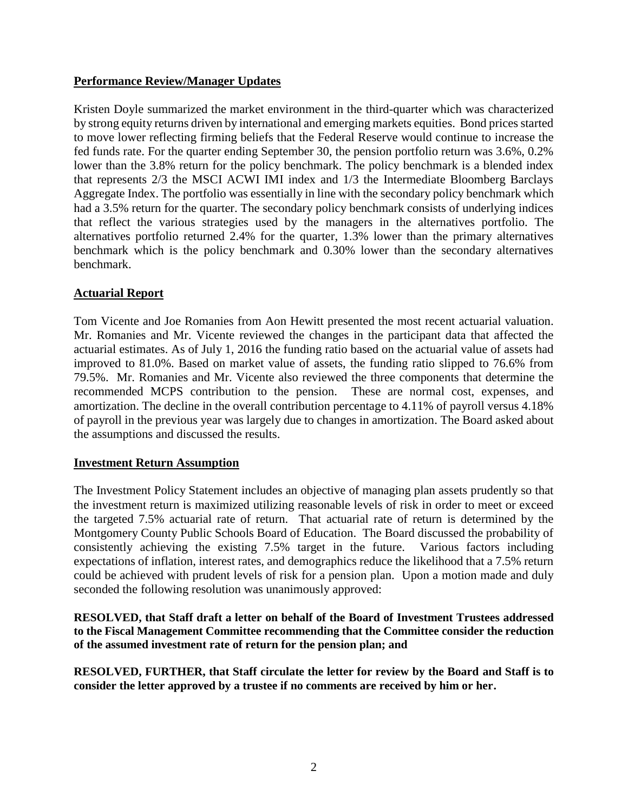## **Performance Review/Manager Updates**

Kristen Doyle summarized the market environment in the third-quarter which was characterized by strong equity returns driven by international and emerging markets equities. Bond prices started to move lower reflecting firming beliefs that the Federal Reserve would continue to increase the fed funds rate. For the quarter ending September 30, the pension portfolio return was 3.6%, 0.2% lower than the 3.8% return for the policy benchmark. The policy benchmark is a blended index that represents 2/3 the MSCI ACWI IMI index and 1/3 the Intermediate Bloomberg Barclays Aggregate Index. The portfolio was essentially in line with the secondary policy benchmark which had a 3.5% return for the quarter. The secondary policy benchmark consists of underlying indices that reflect the various strategies used by the managers in the alternatives portfolio. The alternatives portfolio returned 2.4% for the quarter, 1.3% lower than the primary alternatives benchmark which is the policy benchmark and 0.30% lower than the secondary alternatives benchmark.

### **Actuarial Report**

Tom Vicente and Joe Romanies from Aon Hewitt presented the most recent actuarial valuation. Mr. Romanies and Mr. Vicente reviewed the changes in the participant data that affected the actuarial estimates. As of July 1, 2016 the funding ratio based on the actuarial value of assets had improved to 81.0%. Based on market value of assets, the funding ratio slipped to 76.6% from 79.5%. Mr. Romanies and Mr. Vicente also reviewed the three components that determine the recommended MCPS contribution to the pension. These are normal cost, expenses, and amortization. The decline in the overall contribution percentage to 4.11% of payroll versus 4.18% of payroll in the previous year was largely due to changes in amortization. The Board asked about the assumptions and discussed the results.

#### **Investment Return Assumption**

The Investment Policy Statement includes an objective of managing plan assets prudently so that the investment return is maximized utilizing reasonable levels of risk in order to meet or exceed the targeted 7.5% actuarial rate of return. That actuarial rate of return is determined by the Montgomery County Public Schools Board of Education. The Board discussed the probability of consistently achieving the existing 7.5% target in the future. Various factors including expectations of inflation, interest rates, and demographics reduce the likelihood that a 7.5% return could be achieved with prudent levels of risk for a pension plan. Upon a motion made and duly seconded the following resolution was unanimously approved:

**RESOLVED, that Staff draft a letter on behalf of the Board of Investment Trustees addressed to the Fiscal Management Committee recommending that the Committee consider the reduction of the assumed investment rate of return for the pension plan; and**

**RESOLVED, FURTHER, that Staff circulate the letter for review by the Board and Staff is to consider the letter approved by a trustee if no comments are received by him or her.**